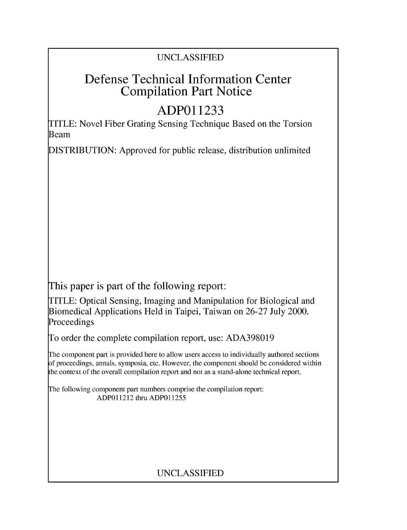# UNCLASSIFIED

# Defense Technical Information Center Compilation Part Notice

# **ADPO 11233**

TITLE: Novel Fiber Grating Sensing Technique Based on the Torsion Beam

DISTRIBUTION: Approved for public release, distribution unlimited

This paper is part of the following report:

TITLE: Optical Sensing, Imaging and Manipulation for Biological and Biomedical Applications Held in Taipei, Taiwan on 26-27 July 2000. Proceedings

To order the complete compilation report, use: ADA398019

The component part is provided here to allow users access to individually authored sections f proceedings, annals, symposia, etc. However, the component should be considered within [he context of the overall compilation report and not as a stand-alone technical report.

The following component part numbers comprise the compilation report: ADPO11212 thru ADP011255

# UNCLASSIFIED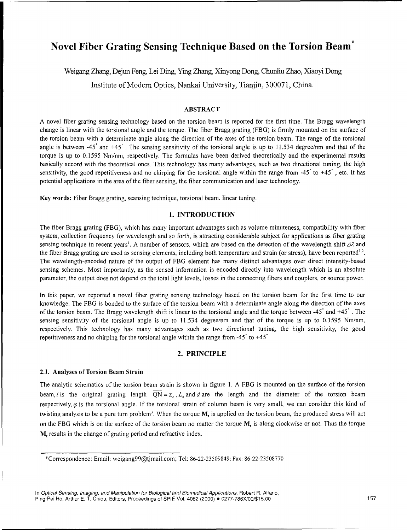# Novel Fiber Grating Sensing Technique Based on the Torsion Beam\*

Weigang Zhang, Dejun Feng, Lei Ding, Yimg Zhang, Xinyong Dong, Chunhu Zhao, Xiaoyi Dong

Institute of Modern Optics, Nankai University, Tianjin, 300071, China.

## ABSTRACT

**A** novel fiber grating sensing technology based on the torsion beam is reported for the first time. The Bragg wavelength change is linear with the torsional angle and the torque. The fiber Bragg grating (FBG) is firmly mounted on the surface of the torsion beam with a determinate angle along the direction of the axes of the torsion beam. The range of the torsional angle is between -45° and  $+45^\circ$ . The sensing sensitivity of the torsional angle is up to 11.534 degree/nm and that of the torque is up to 0.1595 Nm/nm, respectively. The formulas have been derived theoretically and the experimental results basically accord with the theoretical ones. This technology has many advantages, such as two directional tuning, the high sensitivity, the good repetitiveness and no chirping for the torsional angle within the range from  $-45^{\circ}$  to  $+45^{\circ}$ , etc. It has potential applications in the area of the fiber sensing, the fiber communication and laser technology.

Key words: Fiber Bragg grating, seansing technique, torsional beam, linear tuning.

### 1. **INTRODUCTION**

The fiber Bragg grating (FBG), which has many important advantages such as volume minuteness, compatibility with fiber system, collection frequency for wavelength and so forth, is attracting considerable subject for applications as fiber grating sensing technique in recent years<sup>1</sup>. A number of sensors, which are based on the detection of the wavelength shift  $\Delta\lambda$  and the fiber Bragg grating are used as sensing elements, including both temperature and strain (or stress), have been reported<sup>1,2</sup>. The wavelength-encoded nature of the output of FBG element has many distinct advantages over direct intensity-based sensing schemes. Most importantly, as the sensed information is encoded directly into wavelength which is an absolute parameter, the output does not depend on the total light levels, losses in the connecting fibers and couplers, or source power.

In this paper, we reported a novel fiber grating sensing technology based on the torsion beam for the first time to our knowledge. The FBG is bonded to the surface of the torsion beam with a determinate angle along the direction of the axes of the torsion beam. The Bragg wavelength shift is linear to the torsional angle and the torque between  $-45$ ° and  $+45$ °. The sensing sensitivity of the torsional angle is up to 11.534 degree/nm and that of the torque is up to 0.1595 Nm/nm, respectively. This technology has many advantages such as two directional tuning, the high sensitivity, the good repetitiveness and no chirping for the torsional angle within the range from  $-45$  to  $+45$ 

## 2. PRINCIPLE

### 2.1. Analyses of Torsion Beam Strain

The analytic schematics of the torsion beam strain is shown in figure 1. A FBG is mounted on the surface of the torsion beam, *I* is the original grating length  $\overline{QN} = z_0, L_0$  and *d* are the length and the diameter of the torsion beam respectively,  $\varphi$  is the torsional angle. If the torsional strain of column beam is very small, we can consider this kind of twisting analysis to be a pure turn problem<sup>3</sup>. When the torque  $M<sub>t</sub>$  is applied on the torsion beam, the produced stress will act on the FBG which is on the surface of the torsion beam no matter the torque  $M$ , is along clockwise or not. Thus the torque M, results in the change of grating period and refractive index.

<sup>\*</sup>Correspondence: Email: weigang99@tjmail.com; Tel: 86-22-23509849; Fax: 86-22-23508770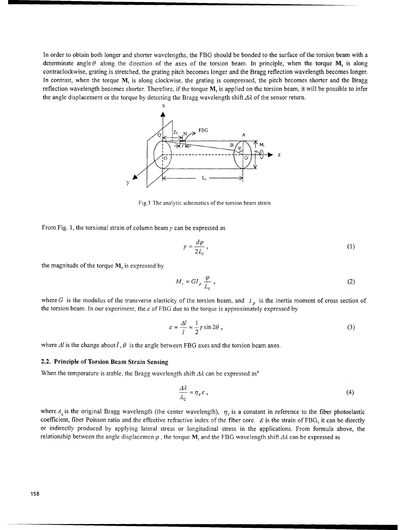In order to obtain both longer and shorter wavelengths, the FBG should be bonded to the surface of the torsion beam with a determinate angle  $\theta$  along the direction of the axes of the torsion beam. In principle, when the torque M, is along contraclockwise, grating is stretched, the grating pitch becomes longer and the Bragg reflection wavelength becomes longer. In contrast, when the torque M, is along clockwise, the grating is compressed, the pitch becomes shorter and the Bragg reflection wavelength becomes shorter. Therefore, if the torque  $M$ , is applied on the torsion beam, it will be possible to infer the angle displacement or the torque by detecting the Bragg wavelength shift *AA* of the sensor return.



Fig.I The analytic schematics of the torsion beam strain

From Fig. 1, the torsional strain of column beam  $\gamma$  can be expressed as

$$
\gamma = \frac{d\varphi}{2L_0},\tag{1}
$$

the magnitude of the torque  $M_t$  is expressed by

$$
M_{\prime} = GI_{p} \frac{\varphi}{L_{0}},\tag{2}
$$

where G is the modulus of the transverse elasticity of the torsion beam, and  $I_p$  is the inertia moment of cross section of the torsion beam. In our experiment, the *E* of FBG due to the torque is approximately expressed by

$$
\varepsilon = \frac{\Delta l}{l} \approx \frac{1}{2} \gamma \sin 2\theta \,,\tag{3}
$$

where  $\Delta l$  is the change about *l*,  $\theta$  is the angle between FBG axes and the torsion beam axes.

#### 2.2. Principle of Torsion Beam Strain Sensing

When the temperature is stable, the Bragg wavelength shift  $\Delta\lambda$  can be expressed as<sup>4</sup>

$$
\frac{\Delta\lambda}{\lambda_0} = \eta_{\varepsilon}\varepsilon\,,\tag{4}
$$

where  $\lambda_0$  is the original Bragg wavelength (the center wavelength),  $\eta_c$  is a constant in reference to the fiber photoelastic coefficient, fiber Poisson ratio and the effective refractive index of the fiber core.  $\epsilon$  is the strain of FBG, it can be directly or indirectly produced by applying lateral stress or longitudinal stress in the applications. From formula above, the relationship between the angle displacemen  $\varphi$ , the torque M, and the FBG wavelength shift  $\Delta\lambda$  can be expressed as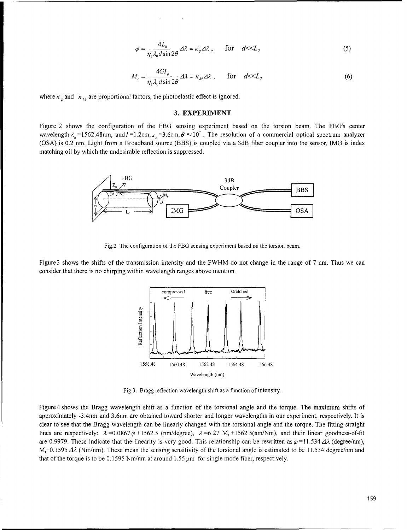$$
\varphi = \frac{4L_0}{\eta_c \lambda_0 d \sin 2\theta} \Delta \lambda = \kappa_\varphi \Delta \lambda \,, \qquad \text{for} \quad d \ll L_0 \tag{5}
$$

$$
M_{t} = \frac{4GI_{p}}{\eta_{c}\lambda_{0}d\sin 2\theta} \Delta\lambda = \kappa_{M}\Delta\lambda, \quad \text{for} \quad d \ll L_{0}
$$
 (6)

where  $\kappa_n$  and  $\kappa_M$  are proportional factors, the photoelastic effect is ignored.

#### **3.** EXPERIMENT

Figure 2 shows the configuration of the FBG sensing experiment based on the torsion beam. The FBG's center wavelength  $\lambda_0 = 1562.48$ nm, and  $l = 1.2$ cm,  $z_c = 3.6$ cm,  $\theta \approx 10^{\circ}$ . The resolution of a commercial optical spectrum analyzer **(OSA)** is 0.2 nm. Light from a Broadband source (BBS) is coupled via a 3dB fiber coupler into the sensor. IMG is index matching oil by which the undesirable reflection is suppressed.



Fig.2 The configuration of the FBG sensing experiment based on the torsion beam.

Figure 3 shows the shifts of the transmission intensity and the FWHM do not change in the range of 7 nm. Thus we can consider that there is no chirping within wavelength ranges above mention.



Fig.3. Bragg reflection wavelength shift as a function of intensity.

Figure 4 shows the Bragg wavelength shift as a function of the torsional angle and the torque. The maximum shifts of Figure 4 shows the Bragg wavelength shift as a function of the torsional angle and the torque. The maximum shifts of<br>approximately, 3.4nm and 3.6nm are obtained toward shorter and longer wavelengths in our experiment, resp approximately -3.4nm and 3.6nm are obtained toward shorter and longer wavelengths in our experiment, respectively. It is<br>clear to see that the Bragg wavelength can be linearly changed with the torsional angle and the torqu ciear to see that the Bragg wavelength can be finearly changed with the torsional angle and the torque. The fitting straight cooking to the cooking straight of fitting straight cooking to the cooking of fitting to the cook lines are respectively:  $\lambda = 0.0867 \varphi + 1562.5$  (nm/degree),  $\lambda = 6.27$  M<sub>t</sub> +1562.5(nm/Nm), and their linear goodness-of-t are 0.9979. These indicate that the linearity is very good. This relationship can be rewritten as  $\varphi$ =11.534  $\Delta\lambda$  (degree/nm), M,=0.1595  $\Delta\lambda$  (Nm/nm). These mean the sensing sensitivity of the torsional angle is est that of the torque is to be 0.1595 Nm/nm at around  $1.55 \,\mu m$  for single mode fiber, respectively.